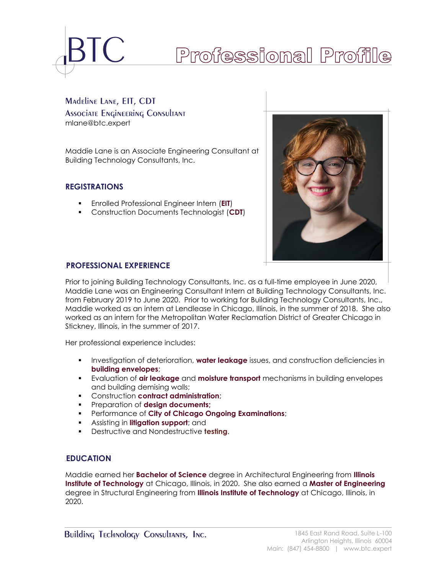

# Professional Profile

# Madeline Lane, EIT, CDT **Associate Engineering Consultant** mlane@btc.expert

Maddie Lane is an Associate Engineering Consultant at Building Technology Consultants, Inc.

# **REGISTRATIONS**

- Enrolled Professional Engineer Intern (**EIT**)
- Construction Documents Technologist (**CDT**)



# **PROFESSIONAL EXPERIENCE**

Prior to joining Building Technology Consultants, Inc. as a full-time employee in June 2020, Maddie Lane was an Engineering Consultant Intern at Building Technology Consultants, Inc. from February 2019 to June 2020. Prior to working for Building Technology Consultants, Inc., Maddie worked as an intern at Lendlease in Chicago, Illinois, in the summer of 2018. She also worked as an intern for the Metropolitan Water Reclamation District of Greater Chicago in Stickney, Illinois, in the summer of 2017.

Her professional experience includes:

- **EXECT** Investigation of deterioration, **water leakage** issues, and construction deficiencies in **building envelopes**;
- Evaluation of **air leakage** and **moisture transport** mechanisms in building envelopes and building demising walls;
- Construction **contract administration**;
- Preparation of **design documents;**
- Performance of **City of Chicago Ongoing Examinations**;
- Assisting in **litigation support**; and
- Destructive and Nondestructive **testing**.

#### **1BEDUCATION**

Maddie earned her **Bachelor of Science** degree in Architectural Engineering from **Illinois Institute of Technology** at Chicago, Illinois, in 2020. She also earned a **Master of Engineering** degree in Structural Engineering from **Illinois Institute of Technology** at Chicago, Illinois, in 2020.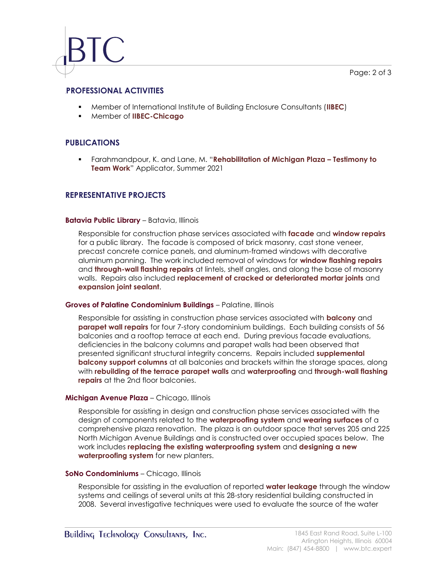# **2BPROFESSIONAL ACTIVITIES**

- Member of International Institute of Building Enclosure Consultants (**IIBEC**)
- Member of **IIBEC-Chicago**

# **PUBLICATIONS**

▪ Farahmandpour, K. and Lane, M. "**Rehabilitation of Michigan Plaza – Testimony to Team Work**" Applicator, Summer 2021

#### **REPRESENTATIVE PROJECTS**

#### **Batavia Public Library** – Batavia, Illinois

Responsible for construction phase services associated with **facade** and **window repairs** for a public library. The facade is composed of brick masonry, cast stone veneer, precast concrete cornice panels, and aluminum-framed windows with decorative aluminum panning. The work included removal of windows for **window flashing repairs** and **through-wall flashing repairs** at lintels, shelf angles, and along the base of masonry walls. Repairs also included **replacement of cracked or deteriorated mortar joints** and **expansion joint sealant**.

#### **Groves of Palatine Condominium Buildings** – Palatine, Illinois

Responsible for assisting in construction phase services associated with **balcony** and **parapet wall repairs** for four 7-story condominium buildings. Each building consists of 56 balconies and a rooftop terrace at each end. During previous facade evaluations, deficiencies in the balcony columns and parapet walls had been observed that presented significant structural integrity concerns. Repairs included **supplemental balcony support columns** at all balconies and brackets within the storage spaces, along with **rebuilding of the terrace parapet walls** and **waterproofing** and **through-wall flashing repairs** at the 2nd floor balconies.

#### **Michigan Avenue Plaza** – Chicago, Illinois

Responsible for assisting in design and construction phase services associated with the design of components related to the **waterproofing system** and **wearing surfaces** of a comprehensive plaza renovation. The plaza is an outdoor space that serves 205 and 225 North Michigan Avenue Buildings and is constructed over occupied spaces below. The work includes **replacing the existing waterproofing system** and **designing a new waterproofing system** for new planters.

#### **SoNo Condominiums** – Chicago, Illinois

Responsible for assisting in the evaluation of reported **water leakage** through the window systems and ceilings of several units at this 28-story residential building constructed in 2008. Several investigative techniques were used to evaluate the source of the water